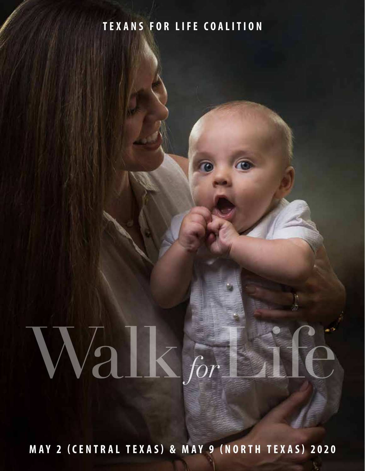### **TEXANS FOR LIFE COALITION**

# Walk for Life *for*

**MAY 2 (CENTRAL TEXAS) & MAY 9 (NORTH TEXAS) 2020**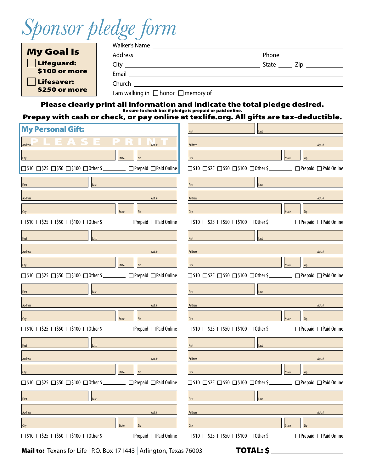*Sponsor pledge form*

| <b>My Goal Is</b> |                               |  | Phone ____________________ |  |
|-------------------|-------------------------------|--|----------------------------|--|
| <b>Lifeguard:</b> |                               |  | State $\_\_$ Zip $\_\_$    |  |
| \$100 or more     | Email                         |  |                            |  |
| <b>Lifesaver:</b> | Church <b>Exercise Church</b> |  |                            |  |
| \$250 or more     |                               |  |                            |  |

Please clearly print all information and indicate the total pledge desired.<br>Besure to check box if pledge is prepaid or paid online.<br>Prepay with cash or check, or pay online at texlife.org. All gifts are tax-deductible.

| <b>My Personal Gift:</b>                                                                                  | Last<br>First                                                                                                  |
|-----------------------------------------------------------------------------------------------------------|----------------------------------------------------------------------------------------------------------------|
| <b>Address</b>                                                                                            | Address                                                                                                        |
| Apt.#                                                                                                     | Apt.#                                                                                                          |
| <b>State</b><br>City                                                                                      | Zip<br><b>State</b><br>City                                                                                    |
| $\Box$ \$10 $\Box$ \$25 $\Box$ \$50 $\Box$ \$100 $\Box$ Other \$ $\Box$ Prepaid $\Box$ Paid Online        | $\Box$ \$10 $\Box$ \$25 $\Box$ \$50 $\Box$ \$100 $\Box$ Other \$ $\Box$ Prepaid $\Box$ Paid Online             |
| Last                                                                                                      | Last                                                                                                           |
| <b>First</b>                                                                                              | <b>First</b>                                                                                                   |
| Address                                                                                                   | Address                                                                                                        |
| Apt.#                                                                                                     | Apt. #                                                                                                         |
| <b>State</b><br>City                                                                                      | City<br><b>State</b><br>Zip                                                                                    |
| $\Box$ \$10 $\Box$ \$25 $\Box$ \$50 $\Box$ \$100 $\Box$ Other \$ $\Box$ Prepaid $\Box$ Paid Online        | $\Box$ \$10 $\Box$ \$25 $\Box$ \$50 $\Box$ \$100 $\Box$ Other \$ ___________ $\Box$ Prepaid $\Box$ Paid Online |
| First                                                                                                     | Last                                                                                                           |
| Last                                                                                                      | First                                                                                                          |
| Address                                                                                                   | Address                                                                                                        |
| Apt.#                                                                                                     | Apt.#                                                                                                          |
| <b>State</b><br>City                                                                                      | Zip<br><b>State</b><br>City                                                                                    |
| $\Box$ \$10 $\Box$ \$25 $\Box$ \$50 $\Box$ \$100 $\Box$ Other \$ $\Box$ Prepaid $\Box$ Paid Online        | $\Box$ \$10 $\Box$ \$25 $\Box$ \$50 $\Box$ \$100 $\Box$ Other \$ $\Box$ Prepaid $\Box$ Paid Online             |
| Last                                                                                                      | Last                                                                                                           |
| <b>First Contract Contract </b>                                                                           | <b>First</b>                                                                                                   |
| Address                                                                                                   | Address                                                                                                        |
| Apt.#                                                                                                     | Apt. #                                                                                                         |
| <b>State</b><br>City                                                                                      | <b>State</b><br>Zip<br>City                                                                                    |
| $\Box$ \$10 $\Box$ \$25 $\Box$ \$50 $\Box$ \$100 $\Box$ Other \$ $\Box$ Prepaid $\Box$ Paid Online        | $\Box$ \$10 $\Box$ \$25 $\Box$ \$50 $\Box$ \$100 $\Box$ Other \$ ___________ $\Box$ Prepaid $\Box$ Paid Online |
| First                                                                                                     | Last                                                                                                           |
| Last                                                                                                      | First                                                                                                          |
| Address                                                                                                   | Address                                                                                                        |
| Apt.#                                                                                                     | Apt.#                                                                                                          |
| <b>State</b>                                                                                              | Zip                                                                                                            |
| Zip                                                                                                       | City                                                                                                           |
| City                                                                                                      | <b>State</b>                                                                                                   |
| $\Box$ \$10 $\Box$ \$25 $\Box$ \$50 $\Box$ \$100 $\Box$ Other \$ $\Box$ Prepaid $\Box$ Paid Online        | $\Box$ \$10 $\Box$ \$25 $\Box$ \$50 $\Box$ \$100 $\Box$ Other \$ $\Box$ Prepaid $\Box$ Paid Online             |
| First                                                                                                     | First                                                                                                          |
| Last                                                                                                      | Last                                                                                                           |
| Address                                                                                                   | Apt.#                                                                                                          |
| Apt.#                                                                                                     | Address                                                                                                        |
| <b>City</b><br><b>State</b>                                                                               | State<br>Zip<br>City                                                                                           |
| $\Box$ \$10 $\Box$ \$25 $\Box$ \$50 $\Box$ \$100 $\Box$ Other \$ $\Box$ $\Box$ Prepaid $\Box$ Paid Online | $\Box$ \$10 $\Box$ \$25 $\Box$ \$50 $\Box$ \$100 $\Box$ Other \$ ___________ $\Box$ Prepaid $\Box$ Paid Online |

**Mail to:** Texans for Life | P.O. Box 171443 | Arlington, Texas 76003 **TOTAL: \$**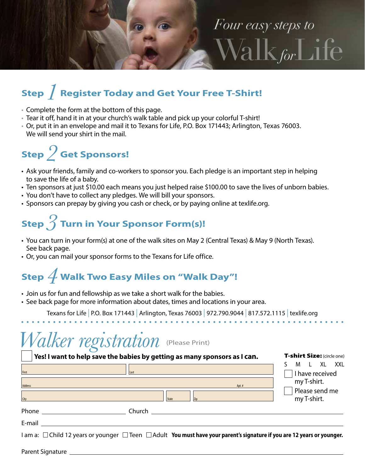

# **Step** *1* **Register Today and Get Your Free T-Shirt!**

- Complete the form at the bottom of this page.
- Tear it off, hand it in at your church's walk table and pick up your colorful T-shirt!
- Or, put it in an envelope and mail it to Texans for Life, P.O. Box 171443; Arlington, Texas 76003. We will send your shirt in the mail.

# **Step** *2* **Get Sponsors!**

- Ask your friends, family and co-workers to sponsor you. Each pledge is an important step in helping to save the life of a baby.
- Ten sponsors at just \$10.00 each means you just helped raise \$100.00 to save the lives of unborn babies.
- You don't have to collect any pledges. We will bill your sponsors.
- Sponsors can prepay by giving you cash or check, or by paying online at texlife.org.

# **Step** *3* **Turn in Your Sponsor Form(s)!**

- You can turn in your form(s) at one of the walk sites on May 2 (Central Texas) & May 9 (North Texas). See back page.
- Or, you can mail your sponsor forms to the Texans for Life office.

# **Step** *4* **Walk Two Easy Miles on "Walk Day"!**

- Join us for fun and fellowship as we take a short walk for the babies.
- See back page for more information about dates, times and locations in your area.

Texans for Life | P.O. Box 171443 | Arlington, Texas 76003 | 972.790.9044 | 817.572.1115 | texlife.org

### *Walker registration* (Please Print)

### **Yes! I want to help save the babies by getting as many sponsors as I can.**

| First                                                                                                                                                                                                                          | Last                                                                                                                     |                                                          |          | M<br>l XL XXL<br>I have received |
|--------------------------------------------------------------------------------------------------------------------------------------------------------------------------------------------------------------------------------|--------------------------------------------------------------------------------------------------------------------------|----------------------------------------------------------|----------|----------------------------------|
| <b>Address</b>                                                                                                                                                                                                                 | e de la construcción de la construcción de la construcción de la construcción de la construcción de la construcción      |                                                          | Apt. $#$ | my T-shirt.                      |
| City                                                                                                                                                                                                                           | <b>State</b>                                                                                                             | Zip                                                      |          | Please send me<br>my T-shirt.    |
|                                                                                                                                                                                                                                |                                                                                                                          | Church <b>Exercísion Church Church Exercísion Church</b> |          |                                  |
| E-mail and the control of the control of the control of the control of the control of the control of the control of the control of the control of the control of the control of the control of the control of the control of t |                                                                                                                          |                                                          |          |                                  |
|                                                                                                                                                                                                                                | I am a: □ Child 12 years or younger □ Teen □ Adult You must have your parent's signature if you are 12 years or younger. |                                                          |          |                                  |

T-shirt Size: (circle one)

Parent Signature